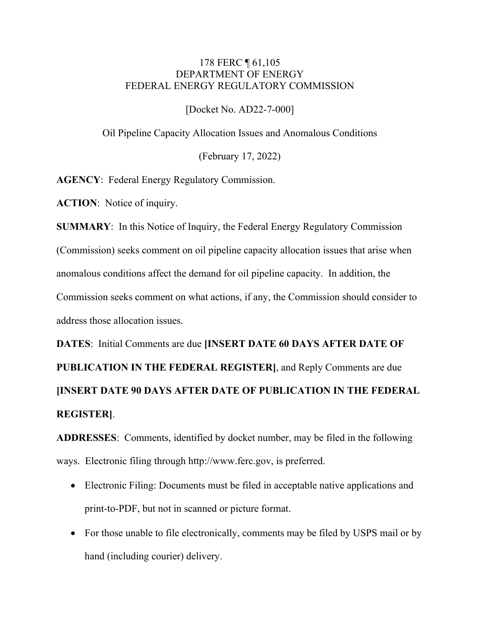## 178 FERC ¶ 61,105 DEPARTMENT OF ENERGY FEDERAL ENERGY REGULATORY COMMISSION

[Docket No. AD22-7-000]

Oil Pipeline Capacity Allocation Issues and Anomalous Conditions

(February 17, 2022)

**AGENCY**: Federal Energy Regulatory Commission.

**ACTION**: Notice of inquiry.

**SUMMARY**: In this Notice of Inquiry, the Federal Energy Regulatory Commission (Commission) seeks comment on oil pipeline capacity allocation issues that arise when anomalous conditions affect the demand for oil pipeline capacity. In addition, the Commission seeks comment on what actions, if any, the Commission should consider to address those allocation issues.

**DATES**: Initial Comments are due **[INSERT DATE 60 DAYS AFTER DATE OF PUBLICATION IN THE FEDERAL REGISTER]**, and Reply Comments are due **[INSERT DATE 90 DAYS AFTER DATE OF PUBLICATION IN THE FEDERAL REGISTER]**.

**ADDRESSES**: Comments, identified by docket number, may be filed in the following ways. Electronic filing through http://www.ferc.gov, is preferred.

- Electronic Filing: Documents must be filed in acceptable native applications and print-to-PDF, but not in scanned or picture format.
- For those unable to file electronically, comments may be filed by USPS mail or by hand (including courier) delivery.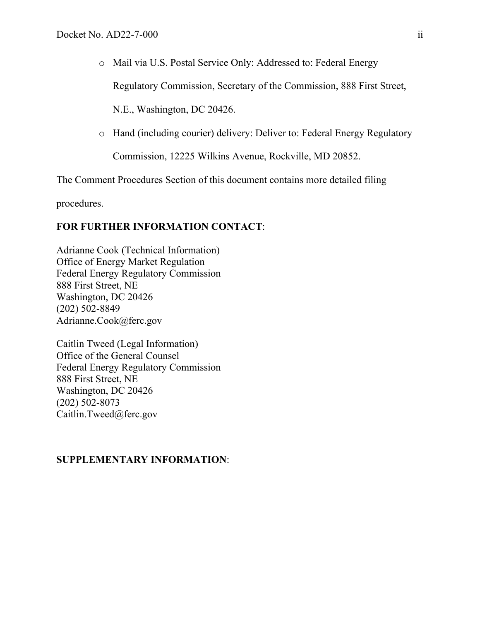o Mail via U.S. Postal Service Only: Addressed to: Federal Energy

Regulatory Commission, Secretary of the Commission, 888 First Street,

N.E., Washington, DC 20426.

o Hand (including courier) delivery: Deliver to: Federal Energy Regulatory

Commission, 12225 Wilkins Avenue, Rockville, MD 20852.

The Comment Procedures Section of this document contains more detailed filing

procedures.

### **FOR FURTHER INFORMATION CONTACT**:

Adrianne Cook (Technical Information) Office of Energy Market Regulation Federal Energy Regulatory Commission 888 First Street, NE Washington, DC 20426 (202) 502-8849 Adrianne.Cook@ferc.gov

Caitlin Tweed (Legal Information) Office of the General Counsel Federal Energy Regulatory Commission 888 First Street, NE Washington, DC 20426 (202) 502-8073 Caitlin.Tweed@ferc.gov

## **SUPPLEMENTARY INFORMATION**: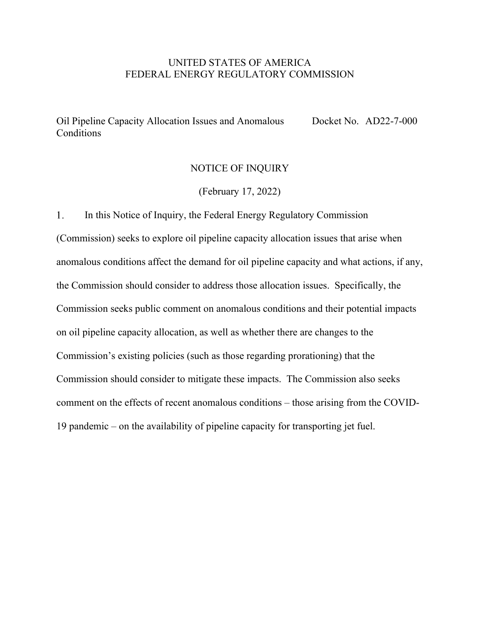### UNITED STATES OF AMERICA FEDERAL ENERGY REGULATORY COMMISSION

Oil Pipeline Capacity Allocation Issues and Anomalous Conditions Docket No. AD22-7-000

# NOTICE OF INQUIRY

### (February 17, 2022)

 $1<sub>1</sub>$ In this Notice of Inquiry, the Federal Energy Regulatory Commission (Commission) seeks to explore oil pipeline capacity allocation issues that arise when anomalous conditions affect the demand for oil pipeline capacity and what actions, if any, the Commission should consider to address those allocation issues. Specifically, the Commission seeks public comment on anomalous conditions and their potential impacts on oil pipeline capacity allocation, as well as whether there are changes to the Commission's existing policies (such as those regarding prorationing) that the Commission should consider to mitigate these impacts. The Commission also seeks comment on the effects of recent anomalous conditions – those arising from the COVID-19 pandemic – on the availability of pipeline capacity for transporting jet fuel.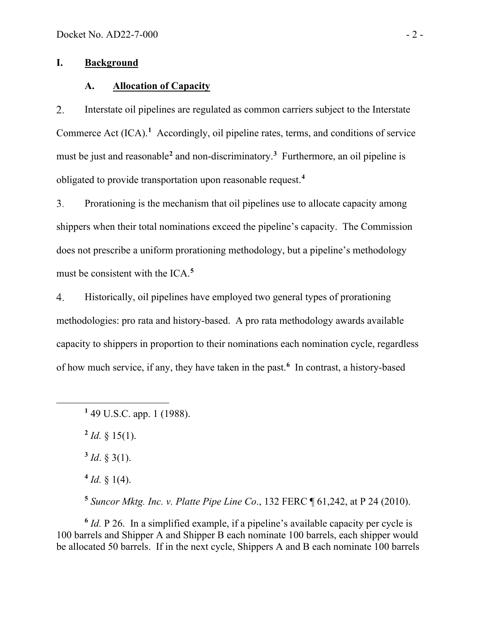# **I. Background**

#### **A. Allocation of Capacity**

2. Interstate oil pipelines are regulated as common carriers subject to the Interstate Commerce Act (ICA).<sup>[1](#page-3-0)</sup> Accordingly, oil pipeline rates, terms, and conditions of service must be just and reasonable**[2](#page-3-1)** and non-discriminatory.**[3](#page-3-2)** Furthermore, an oil pipeline is obligated to provide transportation upon reasonable request.**[4](#page-3-3)**

 $3<sub>1</sub>$ Prorationing is the mechanism that oil pipelines use to allocate capacity among shippers when their total nominations exceed the pipeline's capacity. The Commission does not prescribe a uniform prorationing methodology, but a pipeline's methodology must be consistent with the ICA.**[5](#page-3-4)**

Historically, oil pipelines have employed two general types of prorationing 4. methodologies: pro rata and history-based. A pro rata methodology awards available capacity to shippers in proportion to their nominations each nomination cycle, regardless of how much service, if any, they have taken in the past. **[6](#page-3-5)** In contrast, a history-based

<span id="page-3-1"></span> $^{2}$  *Id.*  $\frac{8}{15}$ (1).

<span id="page-3-2"></span> $3$  *Id.*  $\frac{3}{2}$  (1).

 $4$  *Id.* § 1(4).

**<sup>5</sup>** *Suncor Mktg. Inc. v. Platte Pipe Line Co*., 132 FERC ¶ 61,242, at P 24 (2010).

<span id="page-3-5"></span><span id="page-3-4"></span><span id="page-3-3"></span>**<sup>6</sup>** *Id.* P 26. In a simplified example, if a pipeline's available capacity per cycle is 100 barrels and Shipper A and Shipper B each nominate 100 barrels, each shipper would be allocated 50 barrels. If in the next cycle, Shippers A and B each nominate 100 barrels

<span id="page-3-0"></span>**<sup>1</sup>** 49 U.S.C. app. 1 (1988).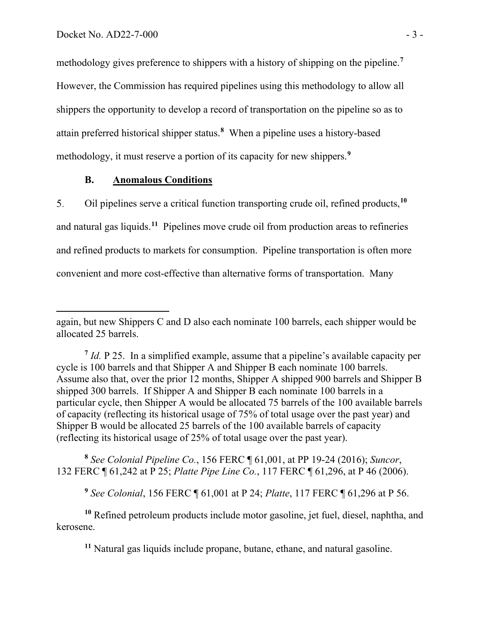methodology gives preference to shippers with a history of shipping on the pipeline.**[7](#page-4-0)** However, the Commission has required pipelines using this methodology to allow all shippers the opportunity to develop a record of transportation on the pipeline so as to attain preferred historical shipper status.**[8](#page-4-1)** When a pipeline uses a history-based methodology, it must reserve a portion of its capacity for new shippers.**[9](#page-4-2)**

### **B. Anomalous Conditions**

Oil pipelines serve a critical function transporting crude oil, refined products,**[10](#page-4-3)** 5. and natural gas liquids.**[11](#page-4-4)** Pipelines move crude oil from production areas to refineries and refined products to markets for consumption. Pipeline transportation is often more convenient and more cost-effective than alternative forms of transportation. Many

<span id="page-4-1"></span>**<sup>8</sup>** *See Colonial Pipeline Co.*, 156 FERC ¶ 61,001, at PP 19-24 (2016); *Suncor*, 132 FERC ¶ 61,242 at P 25; *Platte Pipe Line Co.*, 117 FERC ¶ 61,296, at P 46 (2006).

**<sup>9</sup>** *See Colonial*, 156 FERC ¶ 61,001 at P 24; *Platte*, 117 FERC ¶ 61,296 at P 56.

<span id="page-4-4"></span><span id="page-4-3"></span><span id="page-4-2"></span>**<sup>10</sup>** Refined petroleum products include motor gasoline, jet fuel, diesel, naphtha, and kerosene.

**<sup>11</sup>** Natural gas liquids include propane, butane, ethane, and natural gasoline.

again, but new Shippers C and D also each nominate 100 barrels, each shipper would be allocated 25 barrels.

<span id="page-4-0"></span>**<sup>7</sup>** *Id.* P 25. In a simplified example, assume that a pipeline's available capacity per cycle is 100 barrels and that Shipper A and Shipper B each nominate 100 barrels. Assume also that, over the prior 12 months, Shipper A shipped 900 barrels and Shipper B shipped 300 barrels. If Shipper A and Shipper B each nominate 100 barrels in a particular cycle, then Shipper A would be allocated 75 barrels of the 100 available barrels of capacity (reflecting its historical usage of 75% of total usage over the past year) and Shipper B would be allocated 25 barrels of the 100 available barrels of capacity (reflecting its historical usage of 25% of total usage over the past year).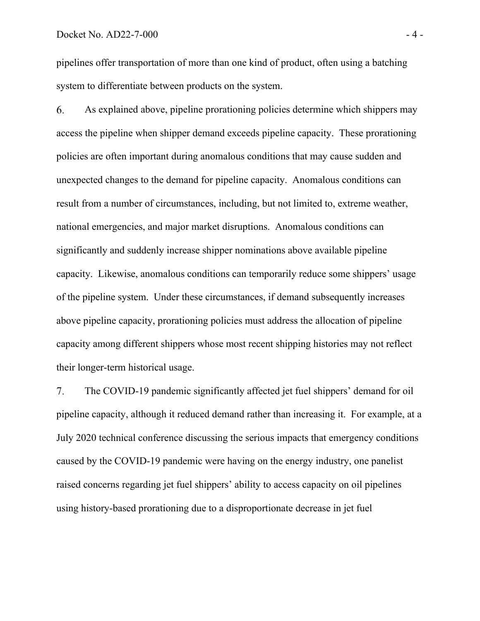pipelines offer transportation of more than one kind of product, often using a batching system to differentiate between products on the system.

As explained above, pipeline prorationing policies determine which shippers may 6. access the pipeline when shipper demand exceeds pipeline capacity. These prorationing policies are often important during anomalous conditions that may cause sudden and unexpected changes to the demand for pipeline capacity. Anomalous conditions can result from a number of circumstances, including, but not limited to, extreme weather, national emergencies, and major market disruptions. Anomalous conditions can significantly and suddenly increase shipper nominations above available pipeline capacity. Likewise, anomalous conditions can temporarily reduce some shippers' usage of the pipeline system. Under these circumstances, if demand subsequently increases above pipeline capacity, prorationing policies must address the allocation of pipeline capacity among different shippers whose most recent shipping histories may not reflect their longer-term historical usage.

 $7<sub>1</sub>$ The COVID-19 pandemic significantly affected jet fuel shippers' demand for oil pipeline capacity, although it reduced demand rather than increasing it. For example, at a July 2020 technical conference discussing the serious impacts that emergency conditions caused by the COVID-19 pandemic were having on the energy industry, one panelist raised concerns regarding jet fuel shippers' ability to access capacity on oil pipelines using history-based prorationing due to a disproportionate decrease in jet fuel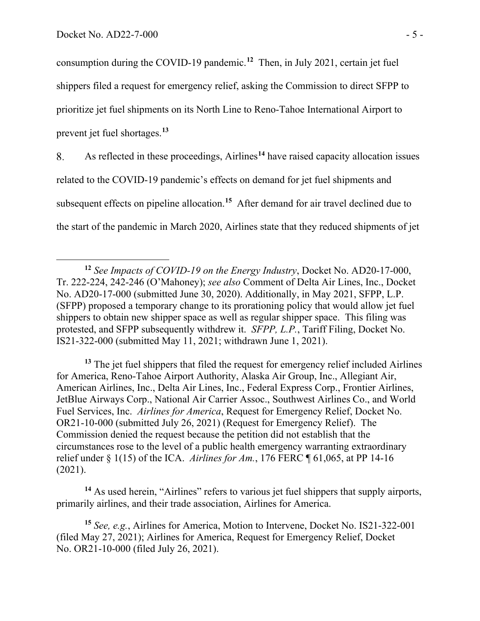consumption during the COVID-19 pandemic. **[12](#page-6-0)** Then, in July 2021, certain jet fuel shippers filed a request for emergency relief, asking the Commission to direct SFPP to prioritize jet fuel shipments on its North Line to Reno-Tahoe International Airport to prevent jet fuel shortages.**[13](#page-6-1)**

As reflected in these proceedings, Airlines**[14](#page-6-2)** have raised capacity allocation issues 8. related to the COVID-19 pandemic's effects on demand for jet fuel shipments and subsequent effects on pipeline allocation.**[15](#page-6-3)** After demand for air travel declined due to the start of the pandemic in March 2020, Airlines state that they reduced shipments of jet

<span id="page-6-1"></span><sup>13</sup> The jet fuel shippers that filed the request for emergency relief included Airlines for America, Reno-Tahoe Airport Authority, Alaska Air Group, Inc., Allegiant Air, American Airlines, Inc., Delta Air Lines, Inc., Federal Express Corp., Frontier Airlines, JetBlue Airways Corp., National Air Carrier Assoc., Southwest Airlines Co., and World Fuel Services, Inc. *Airlines for America*, Request for Emergency Relief, Docket No. OR21-10-000 (submitted July 26, 2021) (Request for Emergency Relief). The Commission denied the request because the petition did not establish that the circumstances rose to the level of a public health emergency warranting extraordinary relief under § 1(15) of the ICA. *Airlines for Am.*, 176 FERC ¶ 61,065, at PP 14-16 (2021).

<span id="page-6-2"></span><sup>14</sup> As used herein, "Airlines" refers to various jet fuel shippers that supply airports, primarily airlines, and their trade association, Airlines for America.

<span id="page-6-3"></span>**<sup>15</sup>** *See, e.g.*, Airlines for America, Motion to Intervene, Docket No. IS21-322-001 (filed May 27, 2021); Airlines for America, Request for Emergency Relief, Docket No. OR21-10-000 (filed July 26, 2021).

<span id="page-6-0"></span>**<sup>12</sup>** *See Impacts of COVID-19 on the Energy Industry*, Docket No. AD20-17-000, Tr. 222-224, 242-246 (O'Mahoney); *see also* Comment of Delta Air Lines, Inc., Docket No. AD20-17-000 (submitted June 30, 2020). Additionally, in May 2021, SFPP, L.P. (SFPP) proposed a temporary change to its prorationing policy that would allow jet fuel shippers to obtain new shipper space as well as regular shipper space. This filing was protested, and SFPP subsequently withdrew it. *SFPP, L.P.*, Tariff Filing, Docket No. IS21-322-000 (submitted May 11, 2021; withdrawn June 1, 2021).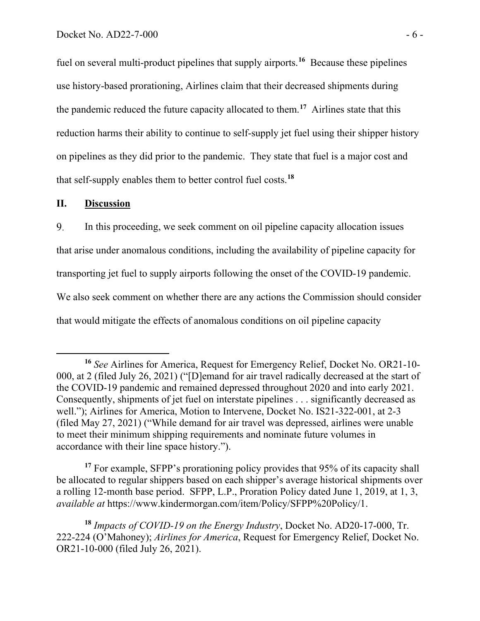fuel on several multi-product pipelines that supply airports.**[16](#page-7-0)** Because these pipelines use history-based prorationing, Airlines claim that their decreased shipments during the pandemic reduced the future capacity allocated to them. **[17](#page-7-1)** Airlines state that this reduction harms their ability to continue to self-supply jet fuel using their shipper history on pipelines as they did prior to the pandemic. They state that fuel is a major cost and that self-supply enables them to better control fuel costs.**[18](#page-7-2)**

### **II. Discussion**

9. In this proceeding, we seek comment on oil pipeline capacity allocation issues that arise under anomalous conditions, including the availability of pipeline capacity for transporting jet fuel to supply airports following the onset of the COVID-19 pandemic. We also seek comment on whether there are any actions the Commission should consider that would mitigate the effects of anomalous conditions on oil pipeline capacity

<span id="page-7-1"></span><sup>17</sup> For example, SFPP's prorationing policy provides that 95% of its capacity shall be allocated to regular shippers based on each shipper's average historical shipments over a rolling 12-month base period. SFPP, L.P., Proration Policy dated June 1, 2019, at 1, 3, *available at* https://www.kindermorgan.com/item/Policy/SFPP%20Policy/1.

<span id="page-7-0"></span>**<sup>16</sup>** *See* Airlines for America, Request for Emergency Relief, Docket No. OR21-10- 000, at 2 (filed July 26, 2021) ("[D]emand for air travel radically decreased at the start of the COVID-19 pandemic and remained depressed throughout 2020 and into early 2021. Consequently, shipments of jet fuel on interstate pipelines . . . significantly decreased as well."); Airlines for America, Motion to Intervene, Docket No. IS21-322-001, at 2-3 (filed May 27, 2021) ("While demand for air travel was depressed, airlines were unable to meet their minimum shipping requirements and nominate future volumes in accordance with their line space history.").

<span id="page-7-2"></span>**<sup>18</sup>** *Impacts of COVID-19 on the Energy Industry*, Docket No. AD20-17-000, Tr. 222-224 (O'Mahoney); *Airlines for America*, Request for Emergency Relief, Docket No. OR21-10-000 (filed July 26, 2021).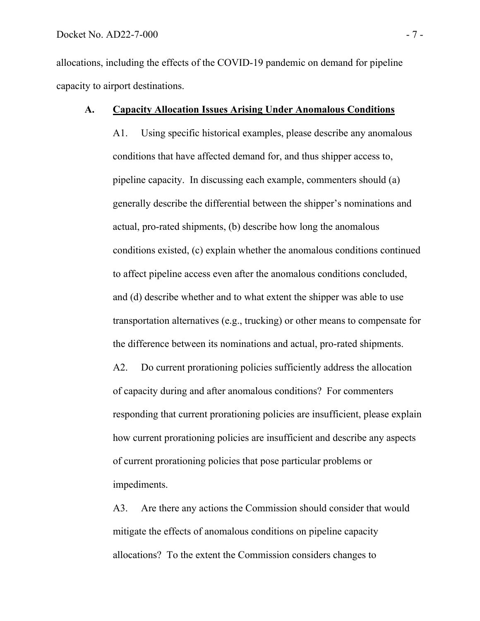allocations, including the effects of the COVID-19 pandemic on demand for pipeline capacity to airport destinations.

#### **A. Capacity Allocation Issues Arising Under Anomalous Conditions**

A1. Using specific historical examples, please describe any anomalous conditions that have affected demand for, and thus shipper access to, pipeline capacity. In discussing each example, commenters should (a) generally describe the differential between the shipper's nominations and actual, pro-rated shipments, (b) describe how long the anomalous conditions existed, (c) explain whether the anomalous conditions continued to affect pipeline access even after the anomalous conditions concluded, and (d) describe whether and to what extent the shipper was able to use transportation alternatives (e.g., trucking) or other means to compensate for the difference between its nominations and actual, pro-rated shipments.

A2. Do current prorationing policies sufficiently address the allocation of capacity during and after anomalous conditions? For commenters responding that current prorationing policies are insufficient, please explain how current prorationing policies are insufficient and describe any aspects of current prorationing policies that pose particular problems or impediments.

A3. Are there any actions the Commission should consider that would mitigate the effects of anomalous conditions on pipeline capacity allocations? To the extent the Commission considers changes to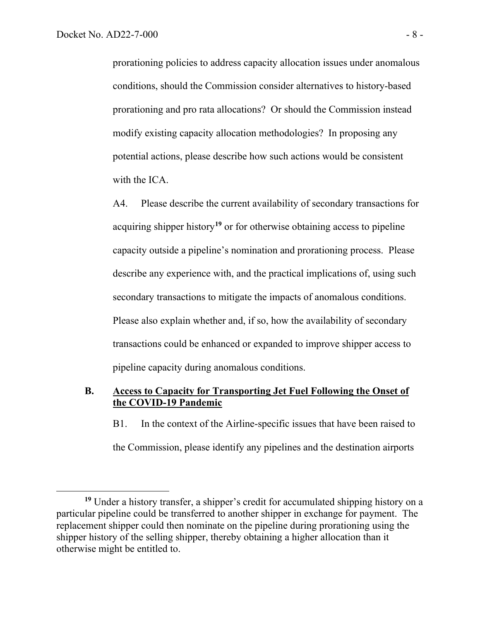prorationing policies to address capacity allocation issues under anomalous conditions, should the Commission consider alternatives to history-based prorationing and pro rata allocations? Or should the Commission instead modify existing capacity allocation methodologies? In proposing any potential actions, please describe how such actions would be consistent with the ICA.

A4. Please describe the current availability of secondary transactions for acquiring shipper history**[19](#page-9-0)** or for otherwise obtaining access to pipeline capacity outside a pipeline's nomination and prorationing process. Please describe any experience with, and the practical implications of, using such secondary transactions to mitigate the impacts of anomalous conditions. Please also explain whether and, if so, how the availability of secondary transactions could be enhanced or expanded to improve shipper access to pipeline capacity during anomalous conditions.

# **B. Access to Capacity for Transporting Jet Fuel Following the Onset of the COVID-19 Pandemic**

B1. In the context of the Airline-specific issues that have been raised to the Commission, please identify any pipelines and the destination airports

<span id="page-9-0"></span>**<sup>19</sup>** Under a history transfer, a shipper's credit for accumulated shipping history on a particular pipeline could be transferred to another shipper in exchange for payment. The replacement shipper could then nominate on the pipeline during prorationing using the shipper history of the selling shipper, thereby obtaining a higher allocation than it otherwise might be entitled to.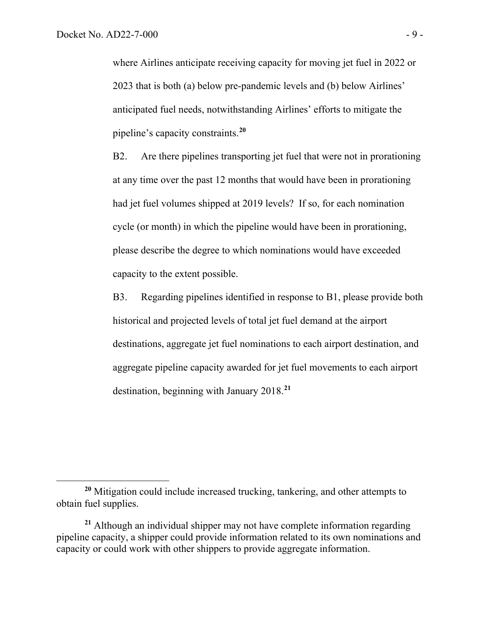where Airlines anticipate receiving capacity for moving jet fuel in 2022 or 2023 that is both (a) below pre-pandemic levels and (b) below Airlines' anticipated fuel needs, notwithstanding Airlines' efforts to mitigate the pipeline's capacity constraints.**[20](#page-10-0)**

B2. Are there pipelines transporting jet fuel that were not in prorationing at any time over the past 12 months that would have been in prorationing had jet fuel volumes shipped at 2019 levels? If so, for each nomination cycle (or month) in which the pipeline would have been in prorationing, please describe the degree to which nominations would have exceeded capacity to the extent possible.

B3. Regarding pipelines identified in response to B1, please provide both historical and projected levels of total jet fuel demand at the airport destinations, aggregate jet fuel nominations to each airport destination, and aggregate pipeline capacity awarded for jet fuel movements to each airport destination, beginning with January 2018. **[21](#page-10-1)**

<span id="page-10-0"></span>**<sup>20</sup>** Mitigation could include increased trucking, tankering, and other attempts to obtain fuel supplies.

<span id="page-10-1"></span>**<sup>21</sup>** Although an individual shipper may not have complete information regarding pipeline capacity, a shipper could provide information related to its own nominations and capacity or could work with other shippers to provide aggregate information.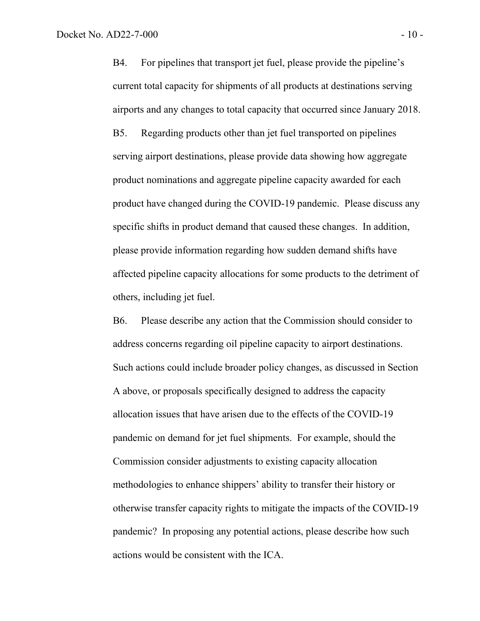B4. For pipelines that transport jet fuel, please provide the pipeline's current total capacity for shipments of all products at destinations serving airports and any changes to total capacity that occurred since January 2018. B5. Regarding products other than jet fuel transported on pipelines serving airport destinations, please provide data showing how aggregate product nominations and aggregate pipeline capacity awarded for each product have changed during the COVID-19 pandemic. Please discuss any specific shifts in product demand that caused these changes. In addition, please provide information regarding how sudden demand shifts have affected pipeline capacity allocations for some products to the detriment of others, including jet fuel.

B6. Please describe any action that the Commission should consider to address concerns regarding oil pipeline capacity to airport destinations. Such actions could include broader policy changes, as discussed in Section A above, or proposals specifically designed to address the capacity allocation issues that have arisen due to the effects of the COVID-19 pandemic on demand for jet fuel shipments. For example, should the Commission consider adjustments to existing capacity allocation methodologies to enhance shippers' ability to transfer their history or otherwise transfer capacity rights to mitigate the impacts of the COVID-19 pandemic? In proposing any potential actions, please describe how such actions would be consistent with the ICA.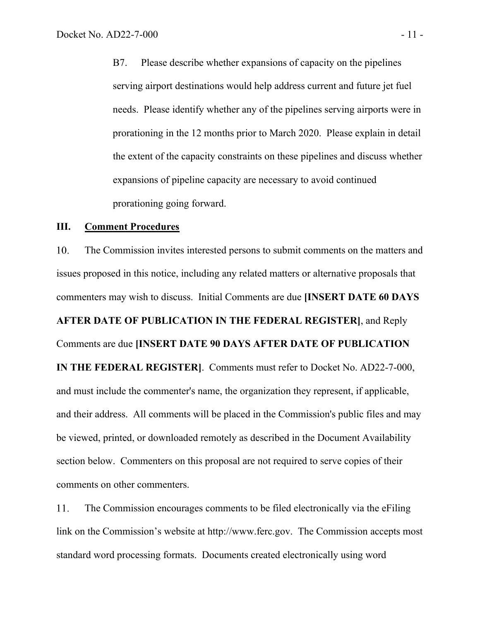B7. Please describe whether expansions of capacity on the pipelines serving airport destinations would help address current and future jet fuel needs. Please identify whether any of the pipelines serving airports were in prorationing in the 12 months prior to March 2020. Please explain in detail the extent of the capacity constraints on these pipelines and discuss whether expansions of pipeline capacity are necessary to avoid continued prorationing going forward.

#### **III. Comment Procedures**

10. The Commission invites interested persons to submit comments on the matters and issues proposed in this notice, including any related matters or alternative proposals that commenters may wish to discuss. Initial Comments are due **[INSERT DATE 60 DAYS AFTER DATE OF PUBLICATION IN THE FEDERAL REGISTER]**, and Reply Comments are due **[INSERT DATE 90 DAYS AFTER DATE OF PUBLICATION IN THE FEDERAL REGISTER]**. Comments must refer to Docket No. AD22-7-000, and must include the commenter's name, the organization they represent, if applicable, and their address. All comments will be placed in the Commission's public files and may be viewed, printed, or downloaded remotely as described in the Document Availability section below. Commenters on this proposal are not required to serve copies of their comments on other commenters.

11. The Commission encourages comments to be filed electronically via the eFiling link on the Commission's website at http://www.ferc.gov. The Commission accepts most standard word processing formats. Documents created electronically using word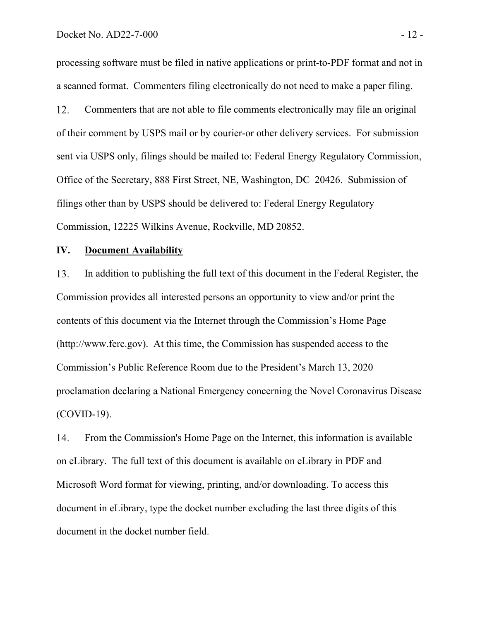processing software must be filed in native applications or print-to-PDF format and not in a scanned format. Commenters filing electronically do not need to make a paper filing.

12. Commenters that are not able to file comments electronically may file an original of their comment by USPS mail or by courier-or other delivery services. For submission sent via USPS only, filings should be mailed to: Federal Energy Regulatory Commission, Office of the Secretary, 888 First Street, NE, Washington, DC 20426. Submission of filings other than by USPS should be delivered to: Federal Energy Regulatory Commission, 12225 Wilkins Avenue, Rockville, MD 20852.

#### **IV. Document Availability**

In addition to publishing the full text of this document in the Federal Register, the 13. Commission provides all interested persons an opportunity to view and/or print the contents of this document via the Internet through the Commission's Home Page (http://www.ferc.gov). At this time, the Commission has suspended access to the Commission's Public Reference Room due to the President's March 13, 2020 proclamation declaring a National Emergency concerning the Novel Coronavirus Disease (COVID-19).

14. From the Commission's Home Page on the Internet, this information is available on eLibrary. The full text of this document is available on eLibrary in PDF and Microsoft Word format for viewing, printing, and/or downloading. To access this document in eLibrary, type the docket number excluding the last three digits of this document in the docket number field.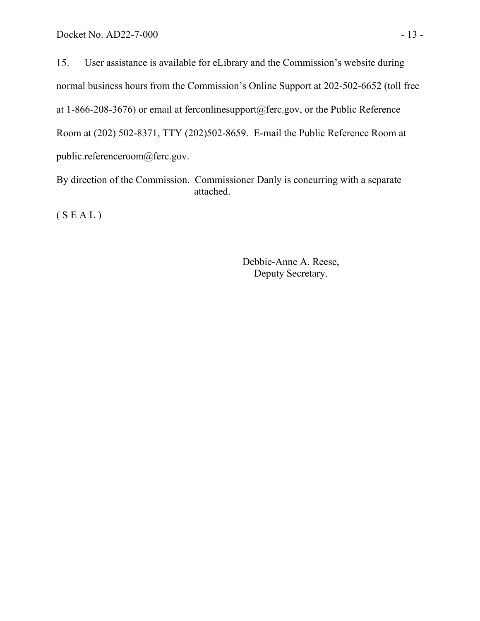15. User assistance is available for eLibrary and the Commission's website during normal business hours from the Commission's Online Support at 202-502-6652 (toll free at 1-866-208-3676) or email at ferconlinesupport@ferc.gov, or the Public Reference Room at (202) 502-8371, TTY (202)502-8659. E-mail the Public Reference Room at public.referenceroom@ferc.gov.

By direction of the Commission. Commissioner Danly is concurring with a separate attached.

 $(S E A L)$ 

Debbie-Anne A. Reese, Deputy Secretary.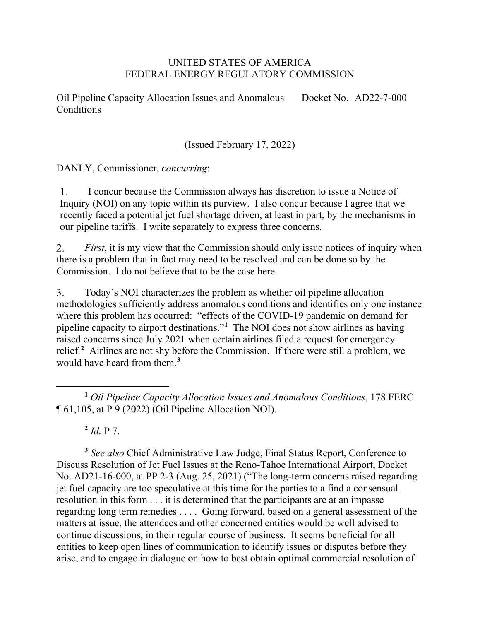## UNITED STATES OF AMERICA FEDERAL ENERGY REGULATORY COMMISSION

Oil Pipeline Capacity Allocation Issues and Anomalous Conditions Docket No. AD22-7-000

(Issued February 17, 2022)

DANLY, Commissioner, *concurring*:

I concur because the Commission always has discretion to issue a Notice of  $1.$ Inquiry (NOI) on any topic within its purview. I also concur because I agree that we recently faced a potential jet fuel shortage driven, at least in part, by the mechanisms in our pipeline tariffs. I write separately to express three concerns.

 $2.$ *First*, it is my view that the Commission should only issue notices of inquiry when there is a problem that in fact may need to be resolved and can be done so by the Commission. I do not believe that to be the case here.

3. Today's NOI characterizes the problem as whether oil pipeline allocation methodologies sufficiently address anomalous conditions and identifies only one instance where this problem has occurred: "effects of the COVID-19 pandemic on demand for pipeline capacity to airport destinations."**[1](#page-15-0)** The NOI does not show airlines as having raised concerns since July 2021 when certain airlines filed a request for emergency relief.**[2](#page-15-1)** Airlines are not shy before the Commission. If there were still a problem, we would have heard from them.**[3](#page-15-2)**

**<sup>2</sup>** *Id.* P 7.

<span id="page-15-2"></span><span id="page-15-1"></span>**<sup>3</sup>** *See also* Chief Administrative Law Judge, Final Status Report, Conference to Discuss Resolution of Jet Fuel Issues at the Reno-Tahoe International Airport, Docket No. AD21-16-000, at PP 2-3 (Aug. 25, 2021) ("The long-term concerns raised regarding jet fuel capacity are too speculative at this time for the parties to a find a consensual resolution in this form . . . it is determined that the participants are at an impasse regarding long term remedies . . . . Going forward, based on a general assessment of the matters at issue, the attendees and other concerned entities would be well advised to continue discussions, in their regular course of business. It seems beneficial for all entities to keep open lines of communication to identify issues or disputes before they arise, and to engage in dialogue on how to best obtain optimal commercial resolution of

<span id="page-15-0"></span>**<sup>1</sup>** *Oil Pipeline Capacity Allocation Issues and Anomalous Conditions*, 178 FERC ¶ 61,105, at P 9 (2022) (Oil Pipeline Allocation NOI).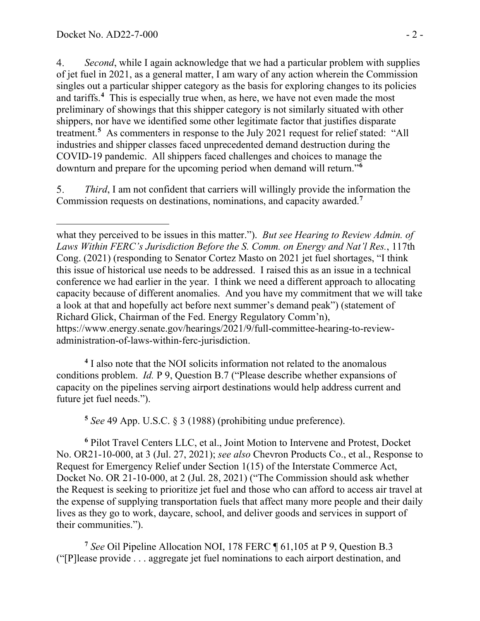$4.$ *Second*, while I again acknowledge that we had a particular problem with supplies of jet fuel in 2021, as a general matter, I am wary of any action wherein the Commission singles out a particular shipper category as the basis for exploring changes to its policies and tariffs.**[4](#page-16-0)** This is especially true when, as here, we have not even made the most preliminary of showings that this shipper category is not similarly situated with other shippers, nor have we identified some other legitimate factor that justifies disparate treatment.**[5](#page-16-1)** As commenters in response to the July 2021 request for relief stated: "All industries and shipper classes faced unprecedented demand destruction during the COVID-19 pandemic. All shippers faced challenges and choices to manage the downturn and prepare for the upcoming period when demand will return."**[6](#page-16-2)**

5. *Third*, I am not confident that carriers will willingly provide the information the Commission requests on destinations, nominations, and capacity awarded.**[7](#page-16-3)**

<span id="page-16-0"></span>**<sup>4</sup>** I also note that the NOI solicits information not related to the anomalous conditions problem. *Id.* P 9, Question B.7 ("Please describe whether expansions of capacity on the pipelines serving airport destinations would help address current and future jet fuel needs.").

**<sup>5</sup>** *See* 49 App. U.S.C. § 3 (1988) (prohibiting undue preference).

<span id="page-16-2"></span><span id="page-16-1"></span>**<sup>6</sup>** Pilot Travel Centers LLC, et al., Joint Motion to Intervene and Protest, Docket No. OR21-10-000, at 3 (Jul. 27, 2021); *see also* Chevron Products Co., et al., Response to Request for Emergency Relief under Section 1(15) of the Interstate Commerce Act, Docket No. OR 21-10-000, at 2 (Jul. 28, 2021) ("The Commission should ask whether the Request is seeking to prioritize jet fuel and those who can afford to access air travel at the expense of supplying transportation fuels that affect many more people and their daily lives as they go to work, daycare, school, and deliver goods and services in support of their communities.").

<span id="page-16-3"></span>**<sup>7</sup>** *See* Oil Pipeline Allocation NOI, 178 FERC ¶ 61,105 at P 9, Question B.3 ("[P]lease provide . . . aggregate jet fuel nominations to each airport destination, and

what they perceived to be issues in this matter."). *But see Hearing to Review Admin. of Laws Within FERC's Jurisdiction Before the S. Comm. on Energy and Nat'l Res.*, 117th Cong. (2021) (responding to Senator Cortez Masto on 2021 jet fuel shortages, "I think this issue of historical use needs to be addressed. I raised this as an issue in a technical conference we had earlier in the year. I think we need a different approach to allocating capacity because of different anomalies. And you have my commitment that we will take a look at that and hopefully act before next summer's demand peak") (statement of Richard Glick, Chairman of the Fed. Energy Regulatory Comm'n), https://www.energy.senate.gov/hearings/2021/9/full-committee-hearing-to-reviewadministration-of-laws-within-ferc-jurisdiction.